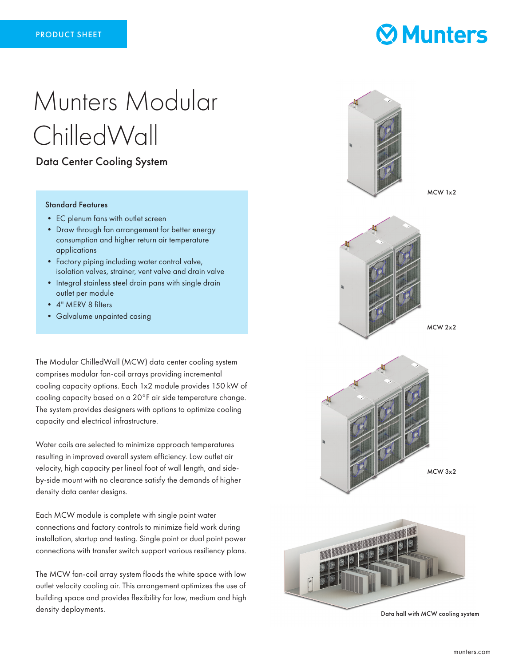# Munters Modular ChilledWall

### Data Center Cooling System

#### Standard Features

- EC plenum fans with outlet screen
- Draw through fan arrangement for better energy consumption and higher return air temperature applications
- Factory piping including water control valve, isolation valves, strainer, vent valve and drain valve
- Integral stainless steel drain pans with single drain outlet per module
- 4" MERV 8 filters
- Galvalume unpainted casing

The Modular ChilledWall (MCW) data center cooling system comprises modular fan-coil arrays providing incremental cooling capacity options. Each 1x2 module provides 150 kW of cooling capacity based on a 20°F air side temperature change. The system provides designers with options to optimize cooling capacity and electrical infrastructure.

Water coils are selected to minimize approach temperatures resulting in improved overall system efficiency. Low outlet air velocity, high capacity per lineal foot of wall length, and sideby-side mount with no clearance satisfy the demands of higher density data center designs.

Each MCW module is complete with single point water connections and factory controls to minimize field work during installation, startup and testing. Single point or dual point power connections with transfer switch support various resiliency plans.

The MCW fan-coil array system floods the white space with low outlet velocity cooling air. This arrangement optimizes the use of building space and provides flexibility for low, medium and high density deployments.



**Munters** 

Data hall with MCW cooling system